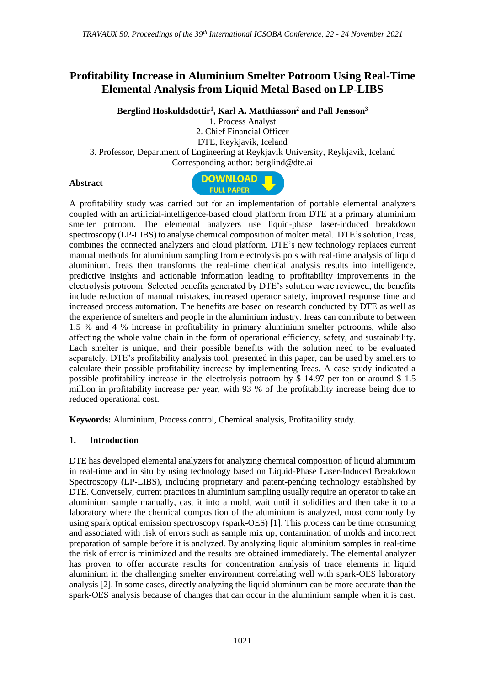# **Profitability Increase in Aluminium Smelter Potroom Using Real-Time Elemental Analysis from Liquid Metal Based on LP-LIBS**

**Berglind Hoskuldsdottir<sup>1</sup> , Karl A. Matthiasson<sup>2</sup> and Pall Jensson<sup>3</sup>**

1. Process Analyst 2. Chief Financial Officer DTE, Reykjavik, Iceland 3. Professor, Department of Engineering at Reykjavik University, Reykjavik, Iceland Corresponding author: berglind@dte.ai

#### **Abstract**



A profitability study was carried out for an implementation of portable elemental analyzers coupled with an artificial-intelligence-based cloud platform from DTE at a primary aluminium smelter potroom. The elemental analyzers use liquid-phase laser-induced breakdown spectroscopy (LP-LIBS) to analyse chemical composition of molten metal. DTE's solution, Ireas, combines the connected analyzers and cloud platform. DTE's new technology replaces current manual methods for aluminium sampling from electrolysis pots with real-time analysis of liquid aluminium. Ireas then transforms the real-time chemical analysis results into intelligence, predictive insights and actionable information leading to profitability improvements in the electrolysis potroom. Selected benefits generated by DTE's solution were reviewed, the benefits include reduction of manual mistakes, increased operator safety, improved response time and increased process automation. The benefits are based on research conducted by DTE as well as the experience of smelters and people in the aluminium industry. Ireas can contribute to between 1.5 % and 4 % increase in profitability in primary aluminium smelter potrooms, while also affecting the whole value chain in the form of operational efficiency, safety, and sustainability. Each smelter is unique, and their possible benefits with the solution need to be evaluated separately. DTE's profitability analysis tool, presented in this paper, can be used by smelters to calculate their possible profitability increase by implementing Ireas. A case study indicated a possible profitability increase in the electrolysis potroom by \$ 14.97 per ton or around \$ 1.5 million in profitability increase per year, with 93 % of the profitability increase being due to reduced operational cost.

**Keywords:** Aluminium, Process control, Chemical analysis, Profitability study.

### **1. Introduction**

DTE has developed elemental analyzers for analyzing chemical composition of liquid aluminium in real-time and in situ by using technology based on Liquid-Phase Laser-Induced Breakdown Spectroscopy (LP-LIBS), including proprietary and patent-pending technology established by DTE. Conversely, current practices in aluminium sampling usually require an operator to take an aluminium sample manually, cast it into a mold, wait until it solidifies and then take it to a laboratory where the chemical composition of the aluminium is analyzed, most commonly by using spark optical emission spectroscopy (spark-OES) [1]. This process can be time consuming and associated with risk of errors such as sample mix up, contamination of molds and incorrect preparation of sample before it is analyzed. By analyzing liquid aluminium samples in real-time the risk of error is minimized and the results are obtained immediately. The elemental analyzer has proven to offer accurate results for concentration analysis of trace elements in liquid aluminium in the challenging smelter environment correlating well with spark-OES laboratory analysis [2]. In some cases, directly analyzing the liquid aluminum can be more accurate than the spark-OES analysis because of changes that can occur in the aluminium sample when it is cast.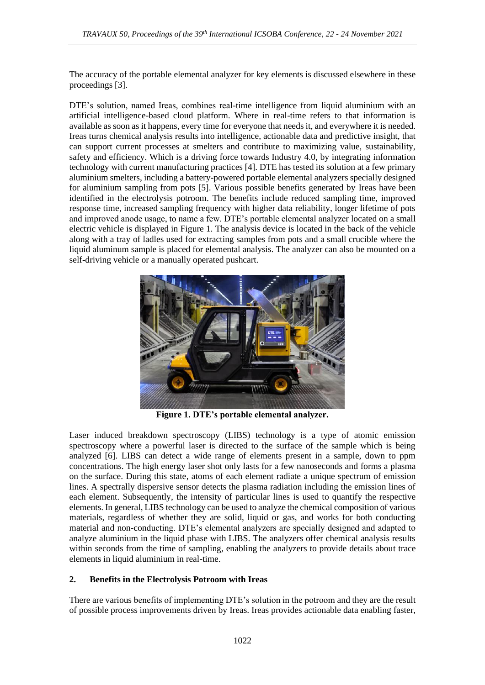The accuracy of the portable elemental analyzer for key elements is discussed elsewhere in these proceedings [3].

DTE's solution, named Ireas, combines real-time intelligence from liquid aluminium with an artificial intelligence-based cloud platform. Where in real-time refers to that information is available as soon as it happens, every time for everyone that needs it, and everywhere it is needed. Ireas turns chemical analysis results into intelligence, actionable data and predictive insight, that can support current processes at smelters and contribute to maximizing value, sustainability, safety and efficiency. Which is a driving force towards Industry 4.0, by integrating information technology with current manufacturing practices [4]. DTE has tested its solution at a few primary aluminium smelters, including a battery-powered portable elemental analyzers specially designed for aluminium sampling from pots [5]. Various possible benefits generated by Ireas have been identified in the electrolysis potroom. The benefits include reduced sampling time, improved response time, increased sampling frequency with higher data reliability, longer lifetime of pots and improved anode usage, to name a few. DTE's portable elemental analyzer located on a small electric vehicle is displayed in Figure 1. The analysis device is located in the back of the vehicle along with a tray of ladles used for extracting samples from pots and a small crucible where the liquid aluminum sample is placed for elemental analysis. The analyzer can also be mounted on a self-driving vehicle or a manually operated pushcart.



**Figure 1. DTE's portable elemental analyzer.**

Laser induced breakdown spectroscopy (LIBS) technology is a type of atomic emission spectroscopy where a powerful laser is directed to the surface of the sample which is being analyzed [6]. LIBS can detect a wide range of elements present in a sample, down to ppm concentrations. The high energy laser shot only lasts for a few nanoseconds and forms a plasma on the surface. During this state, atoms of each element radiate a unique spectrum of emission lines. A spectrally dispersive sensor detects the plasma radiation including the emission lines of each element. Subsequently, the intensity of particular lines is used to quantify the respective elements. In general, LIBS technology can be used to analyze the chemical composition of various materials, regardless of whether they are solid, liquid or gas, and works for both conducting material and non-conducting. DTE's elemental analyzers are specially designed and adapted to analyze aluminium in the liquid phase with LIBS. The analyzers offer chemical analysis results within seconds from the time of sampling, enabling the analyzers to provide details about trace elements in liquid aluminium in real-time.

### **2. Benefits in the Electrolysis Potroom with Ireas**

There are various benefits of implementing DTE's solution in the potroom and they are the result of possible process improvements driven by Ireas. Ireas provides actionable data enabling faster,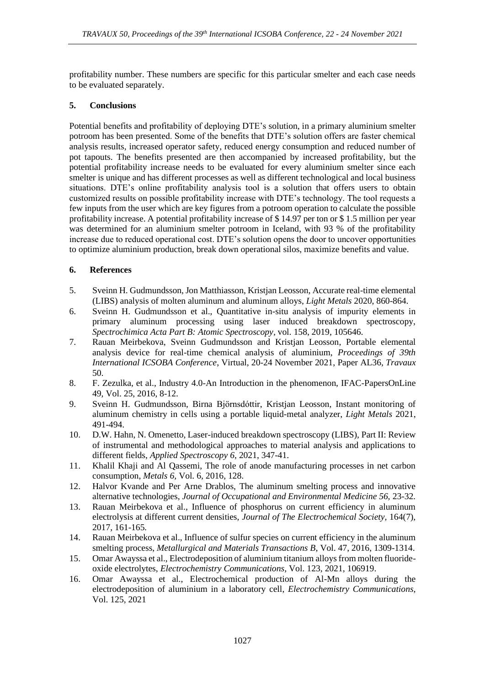profitability number. These numbers are specific for this particular smelter and each case needs to be evaluated separately.

### **5. Conclusions**

Potential benefits and profitability of deploying DTE's solution, in a primary aluminium smelter potroom has been presented. Some of the benefits that DTE's solution offers are faster chemical analysis results, increased operator safety, reduced energy consumption and reduced number of pot tapouts. The benefits presented are then accompanied by increased profitability, but the potential profitability increase needs to be evaluated for every aluminium smelter since each smelter is unique and has different processes as well as different technological and local business situations. DTE's online profitability analysis tool is a solution that offers users to obtain customized results on possible profitability increase with DTE's technology. The tool requests a few inputs from the user which are key figures from a potroom operation to calculate the possible profitability increase. A potential profitability increase of \$ 14.97 per ton or \$ 1.5 million per year was determined for an aluminium smelter potroom in Iceland, with 93 % of the profitability increase due to reduced operational cost. DTE's solution opens the door to uncover opportunities to optimize aluminium production, break down operational silos, maximize benefits and value.

## **6. References**

- 5. Sveinn H. Gudmundsson, Jon Matthiasson, Kristjan Leosson, Accurate real-time elemental (LIBS) analysis of molten aluminum and aluminum alloys, *Light Metals* 2020, 860-864.
- 6. Sveinn H. Gudmundsson et al., Quantitative in-situ analysis of impurity elements in primary aluminum processing using laser induced breakdown spectroscopy, *Spectrochimica Acta Part B: Atomic Spectroscopy,* vol. 158, 2019, 105646.
- 7. Rauan Meirbekova, Sveinn Gudmundsson and Kristjan Leosson, Portable elemental analysis device for real-time chemical analysis of aluminium, *Proceedings of 39th International ICSOBA Conference*, Virtual, 20-24 November 2021, Paper AL36, *Travaux* 50.
- 8. F. Zezulka, et al., Industry 4.0-An Introduction in the phenomenon, IFAC-PapersOnLine 49, Vol. 25, 2016, 8-12.
- 9. Sveinn H. Gudmundsson, Birna Björnsdóttir, Kristjan Leosson, Instant monitoring of aluminum chemistry in cells using a portable liquid-metal analyzer, *Light Metals* 2021, 491-494.
- 10. D.W. Hahn, N. Omenetto, Laser-induced breakdown spectroscopy (LIBS), Part II: Review of instrumental and methodological approaches to material analysis and applications to different fields, *Applied Spectroscopy 6*, 2021, 347-41.
- 11. Khalil Khaji and Al Qassemi, The role of anode manufacturing processes in net carbon consumption, *Metals 6,* Vol. 6*,* 2016, 128.
- 12. Halvor Kvande and Per Arne Drablos, The aluminum smelting process and innovative alternative technologies, *Journal of Occupational and Environmental Medicine 56,* 23-32*.*
- 13. Rauan Meirbekova et al., Influence of phosphorus on current efficiency in aluminum electrolysis at different current densities, *Journal of The Electrochemical Society,* 164(7), 2017, 161-165*.*
- 14. Rauan Meirbekova et al., Influence of sulfur species on current efficiency in the aluminum smelting process, *Metallurgical and Materials Transactions B*, Vol. 47, 2016, 1309-1314.
- 15. Omar Awayssa et al., Electrodeposition of aluminium titanium alloys from molten fluorideoxide electrolytes, *Electrochemistry Communications,* Vol. 123, 2021, 106919.
- 16. Omar Awayssa et al., Electrochemical production of Al-Mn alloys during the electrodeposition of aluminium in a laboratory cell, *Electrochemistry Communications,*  Vol. 125, 2021